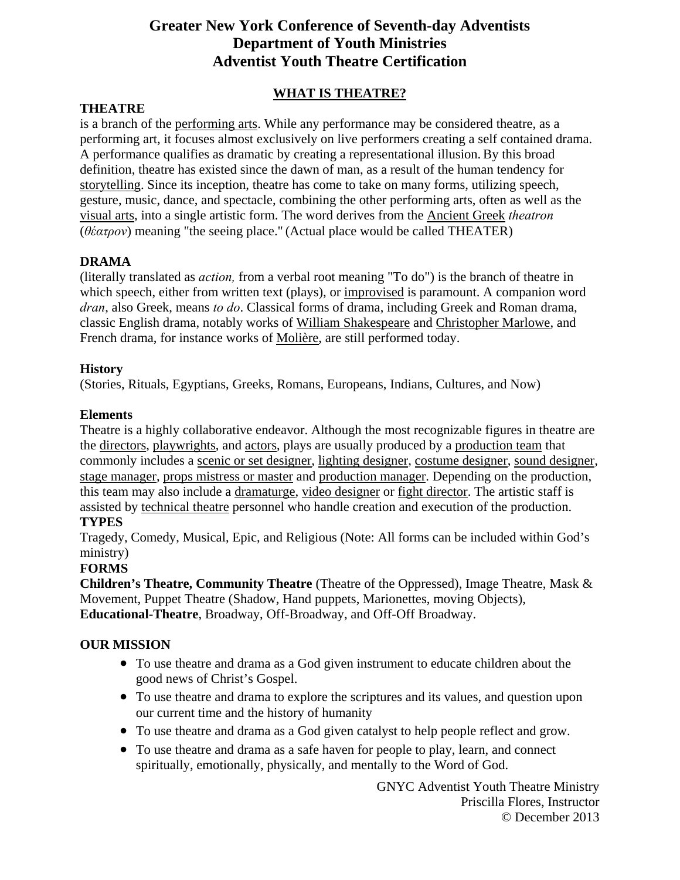## **Greater New York Conference of Seventh-day Adventists Department of Youth Ministries Adventist Youth Theatre Certification**

## **WHAT IS THEATRE?**

### **THEATRE**

is a branch of the performing arts. While any performance may be considered theatre, as a performing art, it focuses almost exclusively on live performers creating a self contained drama. A performance qualifies as dramatic by creating a representational illusion.By this broad definition, theatre has existed since the dawn of man, as a result of the human tendency for storytelling. Since its inception, theatre has come to take on many forms, utilizing speech, gesture, music, dance, and spectacle, combining the other performing arts, often as well as the visual arts, into a single artistic form. The word derives from the Ancient Greek *theatron* (*θέατρον*) meaning "the seeing place." (Actual place would be called THEATER)

#### **DRAMA**

(literally translated as *action,* from a verbal root meaning "To do") is the branch of theatre in which speech, either from written text (plays), or improvised is paramount. A companion word *dran*, also Greek, means *to do*. Classical forms of drama, including Greek and Roman drama, classic English drama, notably works of William Shakespeare and Christopher Marlowe, and French drama, for instance works of Molière, are still performed today.

## **History**

(Stories, Rituals, Egyptians, Greeks, Romans, Europeans, Indians, Cultures, and Now)

#### **Elements**

Theatre is a highly collaborative endeavor. Although the most recognizable figures in theatre are the directors, playwrights, and actors, plays are usually produced by a production team that commonly includes a scenic or set designer, lighting designer, costume designer, sound designer, stage manager, props mistress or master and production manager. Depending on the production, this team may also include a dramaturge, video designer or fight director. The artistic staff is assisted by technical theatre personnel who handle creation and execution of the production.

## **TYPES**

Tragedy, Comedy, Musical, Epic, and Religious (Note: All forms can be included within God's ministry)

## **FORMS**

**Children's Theatre, Community Theatre** (Theatre of the Oppressed), Image Theatre, Mask & Movement, Puppet Theatre (Shadow, Hand puppets, Marionettes, moving Objects), **Educational-Theatre**, Broadway, Off-Broadway, and Off-Off Broadway.

## **OUR MISSION**

- To use theatre and drama as a God given instrument to educate children about the good news of Christ's Gospel.
- To use theatre and drama to explore the scriptures and its values, and question upon our current time and the history of humanity
- To use theatre and drama as a God given catalyst to help people reflect and grow.
- To use theatre and drama as a safe haven for people to play, learn, and connect spiritually, emotionally, physically, and mentally to the Word of God.

GNYC Adventist Youth Theatre Ministry Priscilla Flores, Instructor © December 2013